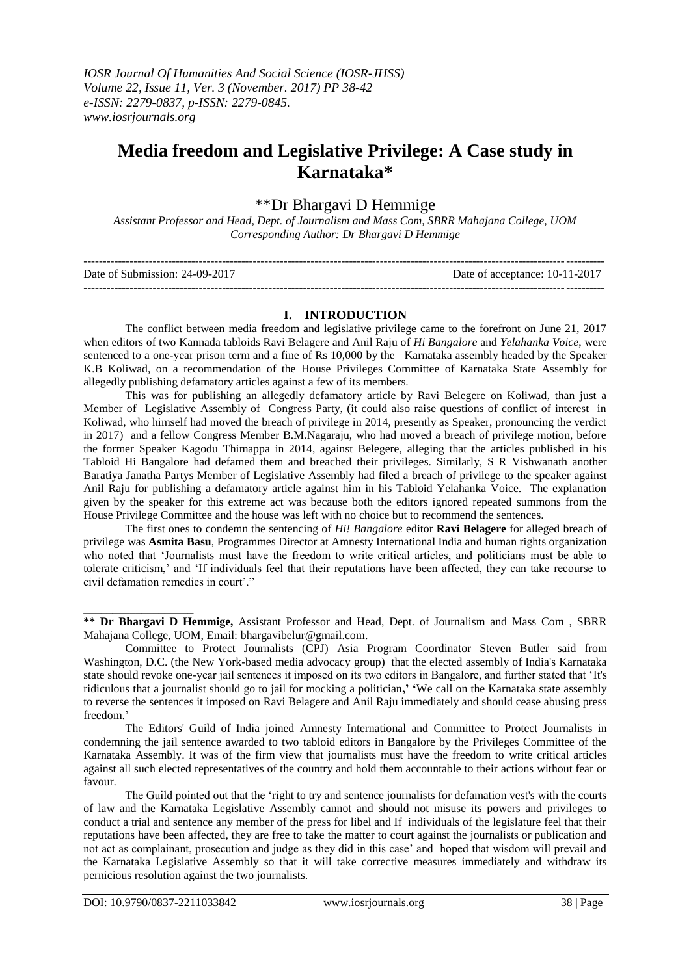# **Media freedom and Legislative Privilege: A Case study in Karnataka\***

## \*\*Dr Bhargavi D Hemmige

*Assistant Professor and Head, Dept. of Journalism and Mass Com, SBRR Mahajana College, UOM Corresponding Author: Dr Bhargavi D Hemmige*

| Date of Submission: 24-09-2017 | Date of acceptance: 10-11-2017 |
|--------------------------------|--------------------------------|
|                                |                                |

#### **I. INTRODUCTION**

The conflict between media freedom and legislative privilege came to the forefront on June 21, 2017 when editors of two Kannada tabloids Ravi Belagere and Anil Raju of *Hi Bangalore* and *Yelahanka Voice*, were sentenced to a one-year prison term and a fine of Rs 10,000 by the Karnataka assembly headed by the Speaker K.B Koliwad, on a recommendation of the House Privileges Committee of Karnataka State Assembly for allegedly publishing defamatory articles against a few of its members.

This was for publishing an allegedly defamatory article by Ravi Belegere on Koliwad, than just a Member of Legislative Assembly of Congress Party, (it could also raise questions of conflict of interest in Koliwad, who himself had moved the breach of privilege in 2014, presently as Speaker, pronouncing the verdict in 2017) and a fellow Congress Member B.M.Nagaraju, who had moved a breach of privilege motion, before the former Speaker Kagodu Thimappa in 2014, against Belegere, alleging that the articles published in his Tabloid Hi Bangalore had defamed them and breached their privileges. Similarly, S R Vishwanath another Baratiya Janatha Partys Member of Legislative Assembly had filed a breach of privilege to the speaker against Anil Raju for publishing a defamatory article against him in his Tabloid Yelahanka Voice. The explanation given by the speaker for this extreme act was because both the editors ignored repeated summons from the House Privilege Committee and the house was left with no choice but to recommend the sentences.

The first ones to [condemn the sentencing of](https://cpj.org/2017/06/indian-state-assembly-sentences-two-editors-to-pri.php) *Hi! Bangalore* editor **Ravi Belagere** for alleged breach of privilege was **Asmita Basu**, Programmes Director at Amnesty International India and human rights organization who noted that "Journalists must have the freedom to write critical articles, and politicians must be able to tolerate criticism," and "If individuals feel that their reputations have been affected, they can take recourse to civil defamation remedies in court'."

The Editors' Guild of India joined Amnesty International and Committee to Protect Journalists in condemning the jail sentence awarded to two tabloid editors in Bangalore by the Privileges Committee of the Karnataka Assembly. It was of the firm view that journalists must have the freedom to write critical articles against all such elected representatives of the country and hold them accountable to their actions without fear or favour.

The Guild pointed out that the "right to try and sentence journalists for defamation vest's with the courts of law and the Karnataka Legislative Assembly cannot and should not misuse its powers and privileges to conduct a trial and sentence any member of the press for libel and If individuals of the legislature feel that their reputations have been affected, they are free to take the matter to court against the journalists or publication and not act as complainant, prosecution and judge as they did in this case" and hoped that wisdom will prevail and the Karnataka Legislative Assembly so that it will take corrective measures immediately and withdraw its pernicious resolution against the two journalists.

\_\_\_\_\_\_\_\_\_\_\_\_\_\_\_\_\_\_\_

**<sup>\*\*</sup> Dr Bhargavi D Hemmige,** Assistant Professor and Head, Dept. of Journalism and Mass Com , SBRR Mahajana College, UOM, Email: [bhargavibelur@gmail.com.](mailto:bhargavibelur@gmail.com)

[Committee to Protect Journalists \(CPJ\)](https://cpj.org/) Asia Program Coordinator Steven Butler said from Washington, D.C. (the New York-based media advocacy group) that the elected assembly of India's Karnataka state should revoke one-year jail sentences it imposed on its two editors in Bangalore, and further stated that "It's ridiculous that a journalist should go to jail for mocking a politician**,' '**We call on the Karnataka state assembly to reverse the sentences it imposed on Ravi Belagere and Anil Raju immediately and should cease abusing press freedom."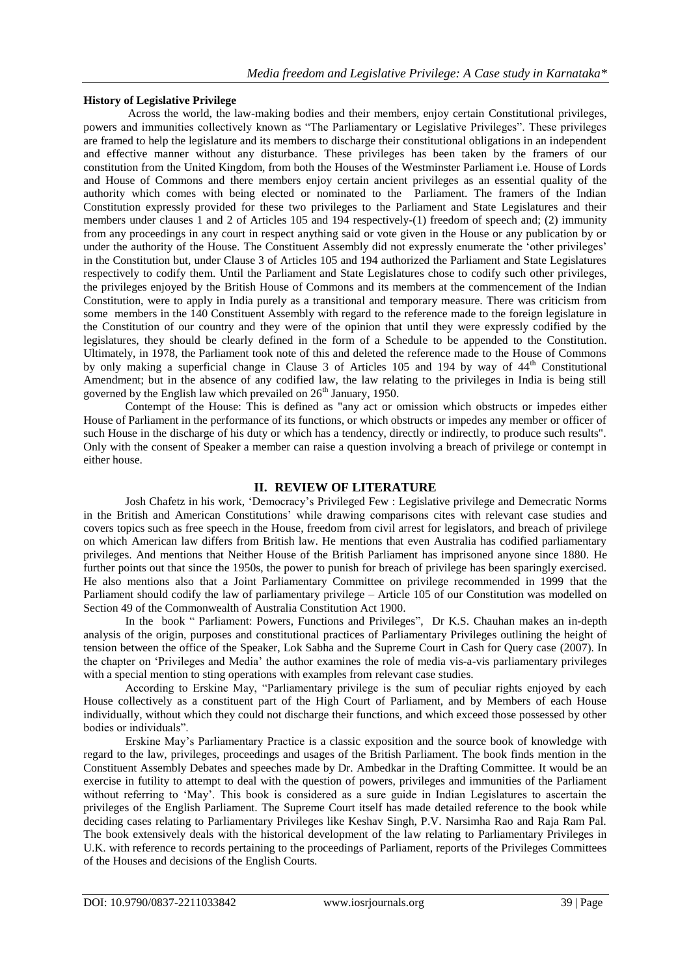#### **History of Legislative Privilege**

Across the world, the law-making bodies and their members, enjoy certain Constitutional privileges, powers and immunities collectively known as "The Parliamentary or Legislative Privileges". These privileges are framed to help the legislature and its members to discharge their constitutional obligations in an independent and effective manner without any disturbance. These privileges has been taken by the framers of our constitution from the United Kingdom, from both the Houses of the Westminster Parliament i.e. House of Lords and House of Commons and there members enjoy certain ancient privileges as an essential quality of the authority which comes with being elected or nominated to the Parliament. The framers of the Indian Constitution expressly provided for these two privileges to the Parliament and State Legislatures and their members under clauses 1 and 2 of Articles 105 and 194 respectively-(1) freedom of speech and; (2) immunity from any proceedings in any court in respect anything said or vote given in the House or any publication by or under the authority of the House. The Constituent Assembly did not expressly enumerate the 'other privileges' in the Constitution but, under Clause 3 of Articles 105 and 194 authorized the Parliament and State Legislatures respectively to codify them. Until the Parliament and State Legislatures chose to codify such other privileges, the privileges enjoyed by the British House of Commons and its members at the commencement of the Indian Constitution, were to apply in India purely as a transitional and temporary measure. There was criticism from some members in the 140 Constituent Assembly with regard to the reference made to the foreign legislature in the Constitution of our country and they were of the opinion that until they were expressly codified by the legislatures, they should be clearly defined in the form of a Schedule to be appended to the Constitution. Ultimately, in 1978, the Parliament took note of this and deleted the reference made to the House of Commons by only making a superficial change in Clause 3 of Articles 105 and 194 by way of 44<sup>th</sup> Constitutional Amendment; but in the absence of any codified law, the law relating to the privileges in India is being still governed by the English law which prevailed on  $26<sup>th</sup>$  January, 1950.

Contempt of the House: This is defined as "any act or omission which obstructs or impedes either House of Parliament in the performance of its functions, or which obstructs or impedes any member or officer of such House in the discharge of his duty or which has a tendency, directly or indirectly, to produce such results". Only with the consent of Speaker a member can raise a question involving a breach of privilege or contempt in either house.

### **II. REVIEW OF LITERATURE**

Josh Chafetz in his work, "Democracy"s Privileged Few : Legislative privilege and Demecratic Norms in the British and American Constitutions" while drawing comparisons cites with relevant case studies and covers topics such as free speech in the House, freedom from civil arrest for legislators, and breach of privilege on which American law differs from British law. He mentions that even Australia has codified parliamentary privileges. And mentions that Neither House of the British Parliament has imprisoned anyone since 1880. He further points out that since the 1950s, the power to punish for breach of privilege has been sparingly exercised. He also mentions also that a Joint Parliamentary Committee on privilege recommended in 1999 that the Parliament should codify the law of parliamentary privilege – Article 105 of our Constitution was modelled on Section 49 of the Commonwealth of Australia Constitution Act 1900.

In the book " Parliament: Powers, Functions and Privileges", Dr K.S. Chauhan makes an in-depth analysis of the origin, purposes and constitutional practices of Parliamentary Privileges outlining the height of tension between the office of the Speaker, Lok Sabha and the Supreme Court in Cash for Query case (2007). In the chapter on "Privileges and Media" the author examines the role of media vis-a-vis parliamentary privileges with a special mention to sting operations with examples from relevant case studies.

According to Erskine May, "Parliamentary privilege is the sum of peculiar rights enjoyed by each House collectively as a constituent part of the High Court of Parliament, and by Members of each House individually, without which they could not discharge their functions, and which exceed those possessed by other bodies or individuals".

Erskine May"s Parliamentary Practice is a classic exposition and the source book of knowledge with regard to the law, privileges, proceedings and usages of the British Parliament. The book finds mention in the Constituent Assembly Debates and speeches made by Dr. Ambedkar in the Drafting Committee. It would be an exercise in futility to attempt to deal with the question of powers, privileges and immunities of the Parliament without referring to "May". This book is considered as a sure guide in Indian Legislatures to ascertain the privileges of the English Parliament. The Supreme Court itself has made detailed reference to the book while deciding cases relating to Parliamentary Privileges like Keshav Singh, P.V. Narsimha Rao and Raja Ram Pal. The book extensively deals with the historical development of the law relating to Parliamentary Privileges in U.K. with reference to records pertaining to the proceedings of Parliament, reports of the Privileges Committees of the Houses and decisions of the English Courts.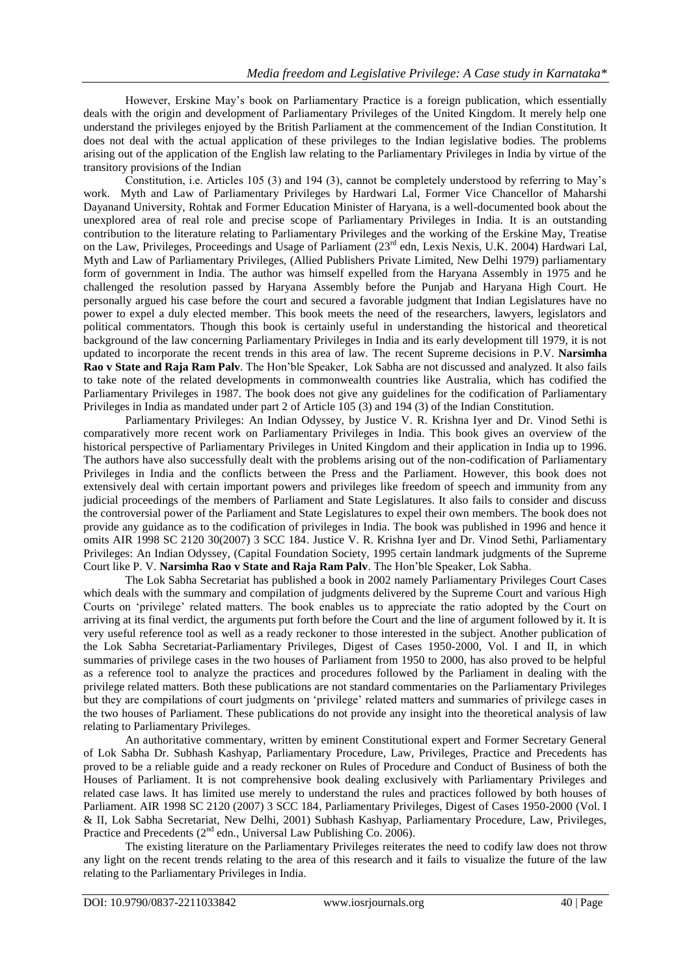However, Erskine May"s book on Parliamentary Practice is a foreign publication, which essentially deals with the origin and development of Parliamentary Privileges of the United Kingdom. It merely help one understand the privileges enjoyed by the British Parliament at the commencement of the Indian Constitution. It does not deal with the actual application of these privileges to the Indian legislative bodies. The problems arising out of the application of the English law relating to the Parliamentary Privileges in India by virtue of the transitory provisions of the Indian

Constitution, i.e. Articles 105 (3) and 194 (3), cannot be completely understood by referring to May"s work. Myth and Law of Parliamentary Privileges by Hardwari Lal, Former Vice Chancellor of Maharshi Dayanand University, Rohtak and Former Education Minister of Haryana, is a well-documented book about the unexplored area of real role and precise scope of Parliamentary Privileges in India. It is an outstanding contribution to the literature relating to Parliamentary Privileges and the working of the Erskine May, Treatise on the Law, Privileges, Proceedings and Usage of Parliament (23<sup>rd</sup> edn, Lexis Nexis, U.K. 2004) Hardwari Lal, Myth and Law of Parliamentary Privileges, (Allied Publishers Private Limited, New Delhi 1979) parliamentary form of government in India. The author was himself expelled from the Haryana Assembly in 1975 and he challenged the resolution passed by Haryana Assembly before the Punjab and Haryana High Court. He personally argued his case before the court and secured a favorable judgment that Indian Legislatures have no power to expel a duly elected member. This book meets the need of the researchers, lawyers, legislators and political commentators. Though this book is certainly useful in understanding the historical and theoretical background of the law concerning Parliamentary Privileges in India and its early development till 1979, it is not updated to incorporate the recent trends in this area of law. The recent Supreme decisions in P.V. **Narsimha Rao v State and Raja Ram Palv**. The Hon"ble Speaker, Lok Sabha are not discussed and analyzed. It also fails to take note of the related developments in commonwealth countries like Australia, which has codified the Parliamentary Privileges in 1987. The book does not give any guidelines for the codification of Parliamentary Privileges in India as mandated under part 2 of Article 105 (3) and 194 (3) of the Indian Constitution.

Parliamentary Privileges: An Indian Odyssey, by Justice V. R. Krishna Iyer and Dr. Vinod Sethi is comparatively more recent work on Parliamentary Privileges in India. This book gives an overview of the historical perspective of Parliamentary Privileges in United Kingdom and their application in India up to 1996. The authors have also successfully dealt with the problems arising out of the non-codification of Parliamentary Privileges in India and the conflicts between the Press and the Parliament. However, this book does not extensively deal with certain important powers and privileges like freedom of speech and immunity from any judicial proceedings of the members of Parliament and State Legislatures. It also fails to consider and discuss the controversial power of the Parliament and State Legislatures to expel their own members. The book does not provide any guidance as to the codification of privileges in India. The book was published in 1996 and hence it omits AIR 1998 SC 2120 30(2007) 3 SCC 184. Justice V. R. Krishna Iyer and Dr. Vinod Sethi, Parliamentary Privileges: An Indian Odyssey, (Capital Foundation Society, 1995 certain landmark judgments of the Supreme Court like P. V. **Narsimha Rao v State and Raja Ram Palv**. The Hon"ble Speaker, Lok Sabha.

The Lok Sabha Secretariat has published a book in 2002 namely Parliamentary Privileges Court Cases which deals with the summary and compilation of judgments delivered by the Supreme Court and various High Courts on "privilege" related matters. The book enables us to appreciate the ratio adopted by the Court on arriving at its final verdict, the arguments put forth before the Court and the line of argument followed by it. It is very useful reference tool as well as a ready reckoner to those interested in the subject. Another publication of the Lok Sabha Secretariat-Parliamentary Privileges, Digest of Cases 1950-2000, Vol. I and II, in which summaries of privilege cases in the two houses of Parliament from 1950 to 2000, has also proved to be helpful as a reference tool to analyze the practices and procedures followed by the Parliament in dealing with the privilege related matters. Both these publications are not standard commentaries on the Parliamentary Privileges but they are compilations of court judgments on "privilege" related matters and summaries of privilege cases in the two houses of Parliament. These publications do not provide any insight into the theoretical analysis of law relating to Parliamentary Privileges.

An authoritative commentary, written by eminent Constitutional expert and Former Secretary General of Lok Sabha Dr. Subhash Kashyap, Parliamentary Procedure, Law, Privileges, Practice and Precedents has proved to be a reliable guide and a ready reckoner on Rules of Procedure and Conduct of Business of both the Houses of Parliament. It is not comprehensive book dealing exclusively with Parliamentary Privileges and related case laws. It has limited use merely to understand the rules and practices followed by both houses of Parliament. AIR 1998 SC 2120 (2007) 3 SCC 184, Parliamentary Privileges, Digest of Cases 1950-2000 (Vol. I & II, Lok Sabha Secretariat, New Delhi, 2001) Subhash Kashyap, Parliamentary Procedure, Law, Privileges, Practice and Precedents  $(2<sup>nd</sup>$  edn., Universal Law Publishing Co. 2006).

The existing literature on the Parliamentary Privileges reiterates the need to codify law does not throw any light on the recent trends relating to the area of this research and it fails to visualize the future of the law relating to the Parliamentary Privileges in India.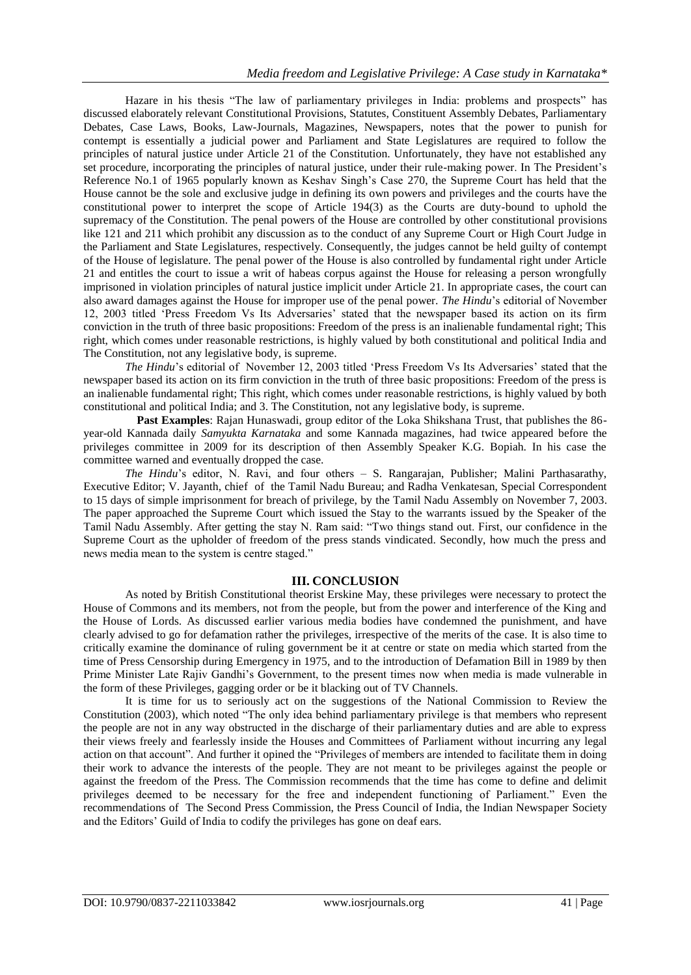Hazare in his thesis "The law of parliamentary privileges in India: problems and prospects" has discussed elaborately relevant Constitutional Provisions, Statutes, Constituent Assembly Debates, Parliamentary Debates, Case Laws, Books, Law-Journals, Magazines, Newspapers, notes that the power to punish for contempt is essentially a judicial power and Parliament and State Legislatures are required to follow the principles of natural justice under Article 21 of the Constitution. Unfortunately, they have not established any set procedure, incorporating the principles of natural justice, under their rule-making power. In The President"s Reference No.1 of 1965 popularly known as Keshav Singh"s Case 270, the Supreme Court has held that the House cannot be the sole and exclusive judge in defining its own powers and privileges and the courts have the constitutional power to interpret the scope of Article 194(3) as the Courts are duty-bound to uphold the supremacy of the Constitution. The penal powers of the House are controlled by other constitutional provisions like 121 and 211 which prohibit any discussion as to the conduct of any Supreme Court or High Court Judge in the Parliament and State Legislatures, respectively. Consequently, the judges cannot be held guilty of contempt of the House of legislature. The penal power of the House is also controlled by fundamental right under Article 21 and entitles the court to issue a writ of habeas corpus against the House for releasing a person wrongfully imprisoned in violation principles of natural justice implicit under Article 21. In appropriate cases, the court can also award damages against the House for improper use of the penal power. *The Hindu*"s editorial of November 12, 2003 titled "Press Freedom Vs Its Adversaries" stated that the newspaper based its action on its firm conviction in the truth of three basic propositions: Freedom of the press is an inalienable fundamental right; This right, which comes under reasonable restrictions, is highly valued by both constitutional and political India and The Constitution, not any legislative body, is supreme.

*The Hindu*"s editorial of November 12, 2003 titled "Press Freedom Vs Its Adversaries" stated that the newspaper based its action on its firm conviction in the truth of three basic propositions: Freedom of the press is an inalienable fundamental right; This right, which comes under reasonable restrictions, is highly valued by both constitutional and political India; and 3. The Constitution, not any legislative body, is supreme.

 **Past Examples**: Rajan Hunaswadi, group editor of the Loka Shikshana Trust, that publishes the 86 year-old Kannada daily *Samyukta Karnataka* and some Kannada magazines, had twice appeared before the privileges committee in 2009 for its description of then Assembly Speaker K.G. Bopiah. In his case the committee warned and eventually dropped the case.

*The Hindu*"s editor, N. Ravi, and four others – S. Rangarajan, Publisher; Malini Parthasarathy, Executive Editor; V. Jayanth, chief of the Tamil Nadu Bureau; and Radha Venkatesan, Special Correspondent to 15 days of simple imprisonment for breach of privilege, by the Tamil Nadu Assembly on November 7, 2003. The paper approached the Supreme Court which issued the Stay to the warrants issued by the Speaker of the Tamil Nadu Assembly. After getting the stay N. Ram said: "Two things stand out. First, our confidence in the Supreme Court as the upholder of freedom of the press stands vindicated. Secondly, how much the press and news media mean to the system is centre staged."

#### **III. CONCLUSION**

As noted by British Constitutional theorist Erskine May, these privileges were necessary to protect the House of Commons and its members, not from the people, but from the power and interference of the King and the House of Lords. As discussed earlier various media bodies have condemned the punishment, and have clearly advised to go for defamation rather the privileges, irrespective of the merits of the case. It is also time to critically examine the dominance of ruling government be it at centre or state on media which started from the time of Press Censorship during Emergency in 1975, and to the introduction of Defamation Bill in 1989 by then Prime Minister Late Rajiv Gandhi"s Government, to the present times now when media is made vulnerable in the form of these Privileges, gagging order or be it blacking out of TV Channels.

It is time for us to seriously act on the suggestions of the National Commission to Review the Constitution (2003), which noted "The only idea behind parliamentary privilege is that members who represent the people are not in any way obstructed in the discharge of their parliamentary duties and are able to express their views freely and fearlessly inside the Houses and Committees of Parliament without incurring any legal action on that account". And further it opined the "Privileges of members are intended to facilitate them in doing their work to advance the interests of the people. They are not meant to be privileges against the people or against the freedom of the Press. The Commission recommends that the time has come to define and delimit privileges deemed to be necessary for the free and independent functioning of Parliament." Even the recommendations of The Second Press Commission, the Press Council of India, the Indian Newspaper Society and the Editors" Guild of India to codify the privileges has gone on deaf ears.